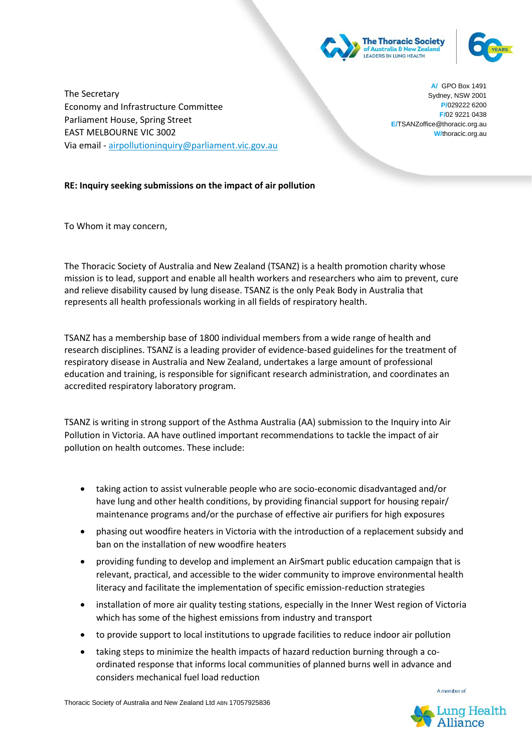

**W/thoracic** 



The Secretary Economy and Infrastructure Committee Parliament House, Spring Street EAST MELBOURNE VIC 3002 Via email - [airpollutioninquiry@parliament.vic.gov.au](mailto:airpollutioninquiry@parliament.vic.gov.au)

**A/** GPO Box 1491 Sydney, NSW 2001 **P/**029222 6200 **F/**02 9221 0438 **E/**TSANZoffice@thoracic.org.au **W/**thoracic.org.au

## **RE: Inquiry seeking submissions on the impact of air pollution**

To Whom it may concern,

The Thoracic Society of Australia and New Zealand (TSANZ) is a health promotion charity whose mission is to lead, support and enable all health workers and researchers who aim to prevent, cure and relieve disability caused by lung disease. TSANZ is the only Peak Body in Australia that represents all health professionals working in all fields of respiratory health.

TSANZ has a membership base of 1800 individual members from a wide range of health and research disciplines. TSANZ is a leading provider of evidence-based guidelines for the treatment of respiratory disease in Australia and New Zealand, undertakes a large amount of professional education and training, is responsible for significant research administration, and coordinates an accredited respiratory laboratory program.

TSANZ is writing in strong support of the Asthma Australia (AA) submission to the Inquiry into Air Pollution in Victoria. AA have outlined important recommendations to tackle the impact of air pollution on health outcomes. These include:

- taking action to assist vulnerable people who are socio-economic disadvantaged and/or have lung and other health conditions, by providing financial support for housing repair/ maintenance programs and/or the purchase of effective air purifiers for high exposures
- phasing out woodfire heaters in Victoria with the introduction of a replacement subsidy and ban on the installation of new woodfire heaters
- providing funding to develop and implement an AirSmart public education campaign that is relevant, practical, and accessible to the wider community to improve environmental health literacy and facilitate the implementation of specific emission-reduction strategies
- installation of more air quality testing stations, especially in the Inner West region of Victoria which has some of the highest emissions from industry and transport
- to provide support to local institutions to upgrade facilities to reduce indoor air pollution
- taking steps to minimize the health impacts of hazard reduction burning through a coordinated response that informs local communities of planned burns well in advance and considers mechanical fuel load reduction

Thoracic Society of Australia and New Zealand Ltd ABN 17057925836



A member of